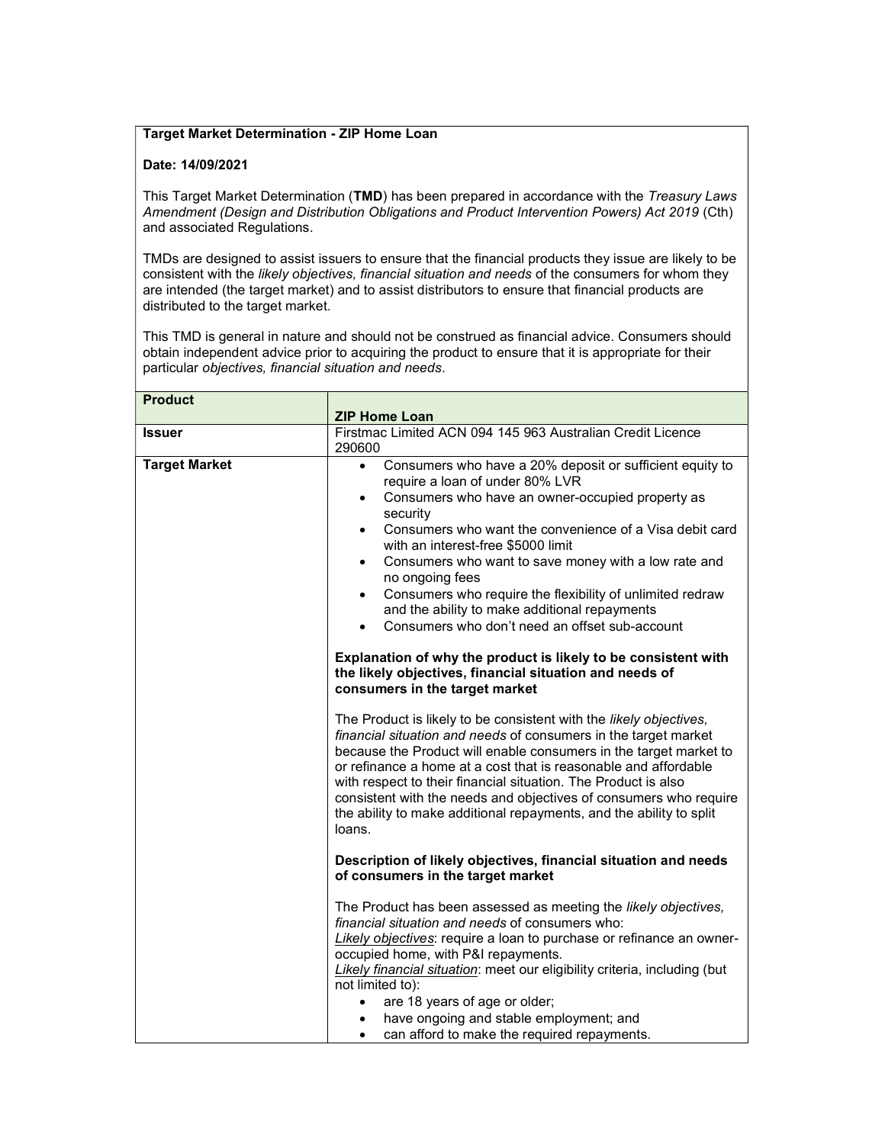## Target Market Determination - ZIP Home Loan

## Date: 14/09/2021

This Target Market Determination (TMD) has been prepared in accordance with the Treasury Laws Amendment (Design and Distribution Obligations and Product Intervention Powers) Act 2019 (Cth) and associated Regulations.

TMDs are designed to assist issuers to ensure that the financial products they issue are likely to be consistent with the likely objectives, financial situation and needs of the consumers for whom they are intended (the target market) and to assist distributors to ensure that financial products are distributed to the target market.

This TMD is general in nature and should not be construed as financial advice. Consumers should obtain independent advice prior to acquiring the product to ensure that it is appropriate for their particular objectives, financial situation and needs.

| <b>Product</b>       |                                                                                                                                                                                                                                                                                                                                                                                                                                                                                                                                                                                                                                                            |
|----------------------|------------------------------------------------------------------------------------------------------------------------------------------------------------------------------------------------------------------------------------------------------------------------------------------------------------------------------------------------------------------------------------------------------------------------------------------------------------------------------------------------------------------------------------------------------------------------------------------------------------------------------------------------------------|
|                      | <b>ZIP Home Loan</b>                                                                                                                                                                                                                                                                                                                                                                                                                                                                                                                                                                                                                                       |
| <b>Issuer</b>        | Firstmac Limited ACN 094 145 963 Australian Credit Licence<br>290600                                                                                                                                                                                                                                                                                                                                                                                                                                                                                                                                                                                       |
| <b>Target Market</b> | Consumers who have a 20% deposit or sufficient equity to<br>$\bullet$<br>require a loan of under 80% LVR<br>Consumers who have an owner-occupied property as<br>$\bullet$<br>security<br>Consumers who want the convenience of a Visa debit card<br>$\bullet$<br>with an interest-free \$5000 limit<br>Consumers who want to save money with a low rate and<br>$\bullet$<br>no ongoing fees<br>Consumers who require the flexibility of unlimited redraw<br>$\bullet$<br>and the ability to make additional repayments<br>Consumers who don't need an offset sub-account                                                                                   |
|                      | Explanation of why the product is likely to be consistent with<br>the likely objectives, financial situation and needs of<br>consumers in the target market<br>The Product is likely to be consistent with the likely objectives,<br>financial situation and needs of consumers in the target market<br>because the Product will enable consumers in the target market to<br>or refinance a home at a cost that is reasonable and affordable<br>with respect to their financial situation. The Product is also<br>consistent with the needs and objectives of consumers who require<br>the ability to make additional repayments, and the ability to split |
|                      | loans.<br>Description of likely objectives, financial situation and needs<br>of consumers in the target market<br>The Product has been assessed as meeting the likely objectives,<br>financial situation and needs of consumers who:<br>Likely objectives: require a loan to purchase or refinance an owner-<br>occupied home, with P&I repayments.<br><b>Likely financial situation:</b> meet our eligibility criteria, including (but<br>not limited to):<br>are 18 years of age or older;<br>have ongoing and stable employment; and<br>can afford to make the required repayments.<br>$\bullet$                                                        |